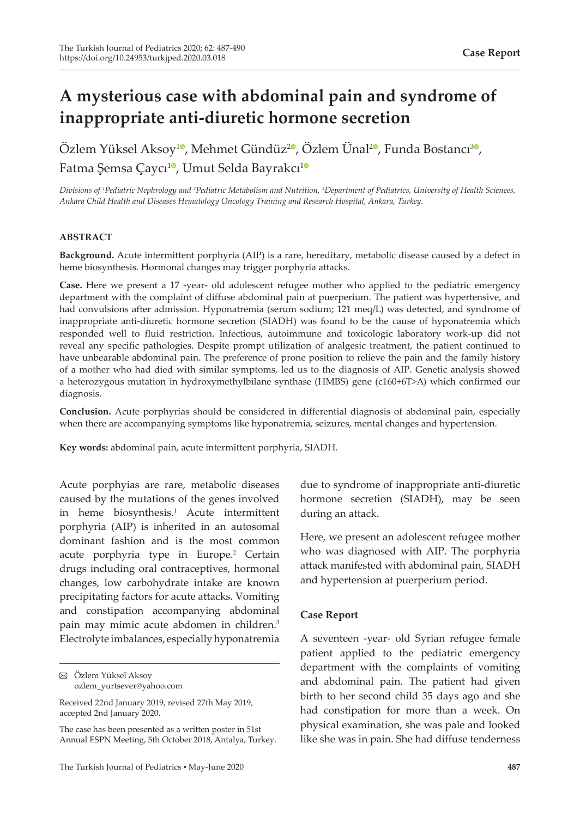# **A mysterious case with abdominal pain and syndrome of inappropriate anti-diuretic hormone secretion**

Özlem Yüksel Aksoy<sup>[1](https://orcid.org/0000-0001-7905-3524)0</sup>, Mehmet Gündüz<sup>[2](https://orcid.org/0000-0002-6005-5623)0</sup>[,](https://orcid.org/0000-0002-3058-5762) Özlem Ünal<sup>20</sup>, Funda Bostancı<sup>30</sup>, Fatma Şemsa Çaycı<sup>[1](https://orcid.org/0000-0002-5301-2617)0</sup>, Umut Selda Bayrakcı<sup>10</sup>

*Divisions of <sup>1</sup> Pediatric Nephrology and <sup>2</sup> Pediatric Metabolism and Nutrition, <sup>3</sup> Department of Pediatrics, University of Health Sciences, Ankara Child Health and Diseases Hematology Oncology Training and Research Hospital, Ankara, Turkey.*

#### **ABSTRACT**

**Background.** Acute intermittent porphyria (AIP) is a rare, hereditary, metabolic disease caused by a defect in heme biosynthesis. Hormonal changes may trigger porphyria attacks.

**Case.** Here we present a 17 -year- old adolescent refugee mother who applied to the pediatric emergency department with the complaint of diffuse abdominal pain at puerperium. The patient was hypertensive, and had convulsions after admission. Hyponatremia (serum sodium; 121 meq/L) was detected, and syndrome of inappropriate anti-diuretic hormone secretion (SIADH) was found to be the cause of hyponatremia which responded well to fluid restriction. Infectious, autoimmune and toxicologic laboratory work-up did not reveal any specific pathologies. Despite prompt utilization of analgesic treatment, the patient continued to have unbearable abdominal pain. The preference of prone position to relieve the pain and the family history of a mother who had died with similar symptoms, led us to the diagnosis of AIP. Genetic analysis showed a heterozygous mutation in hydroxymethylbilane synthase (HMBS) gene (c160+6T>A) which confirmed our diagnosis.

**Conclusion.** Acute porphyrias should be considered in differential diagnosis of abdominal pain, especially when there are accompanying symptoms like hyponatremia, seizures, mental changes and hypertension.

**Key words:** abdominal pain, acute intermittent porphyria, SIADH.

Acute porphyias are rare, metabolic diseases caused by the mutations of the genes involved in heme biosynthesis.1 Acute intermittent porphyria (AIP) is inherited in an autosomal dominant fashion and is the most common acute porphyria type in Europe.<sup>2</sup> Certain drugs including oral contraceptives, hormonal changes, low carbohydrate intake are known precipitating factors for acute attacks. Vomiting and constipation accompanying abdominal pain may mimic acute abdomen in children.<sup>3</sup> Electrolyte imbalances, especially hyponatremia

due to syndrome of inappropriate anti-diuretic hormone secretion (SIADH), may be seen during an attack.

Here, we present an adolescent refugee mother who was diagnosed with AIP. The porphyria attack manifested with abdominal pain, SIADH and hypertension at puerperium period.

#### **Case Report**

A seventeen -year- old Syrian refugee female patient applied to the pediatric emergency department with the complaints of vomiting and abdominal pain. The patient had given birth to her second child 35 days ago and she had constipation for more than a week. On physical examination, she was pale and looked like she was in pain. She had diffuse tenderness

Özlem Yüksel Aksoy ozlem\_yurtsever@yahoo.com

Received 22nd January 2019, revised 27th May 2019, accepted 2nd January 2020.

The case has been presented as a written poster in 51st Annual ESPN Meeting, 5th October 2018, Antalya, Turkey.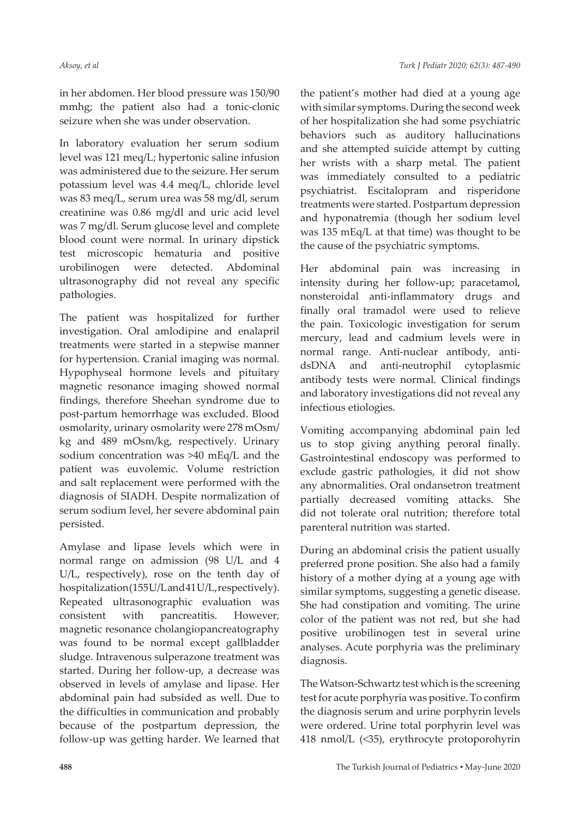in her abdomen. Her blood pressure was 150/90 mmhg; the patient also had a tonic-clonic seizure when she was under observation.

In laboratory evaluation her serum sodium level was 121 meq/L; hypertonic saline infusion was administered due to the seizure. Her serum potassium level was 4.4 meq/L, chloride level was 83 meq/L, serum urea was 58 mg/dl, serum creatinine was 0.86 mg/dl and uric acid level was 7 mg/dl. Serum glucose level and complete blood count were normal. In urinary dipstick test microscopic hematuria and positive urobilinogen were detected. Abdominal ultrasonography did not reveal any specific pathologies.

The patient was hospitalized for further investigation. Oral amlodipine and enalapril treatments were started in a stepwise manner for hypertension. Cranial imaging was normal. Hypophyseal hormone levels and pituitary magnetic resonance imaging showed normal findings, therefore Sheehan syndrome due to post-partum hemorrhage was excluded. Blood osmolarity, urinary osmolarity were 278 mOsm/ kg and 489 mOsm/kg, respectively. Urinary sodium concentration was >40 mEq/L and the patient was euvolemic. Volume restriction and salt replacement were performed with the diagnosis of SIADH. Despite normalization of serum sodium level, her severe abdominal pain persisted.

Amylase and lipase levels which were in normal range on admission (98 U/L and 4 U/L, respectively), rose on the tenth day of hospitalization (155 U/L and 41 U/L, respectively). Repeated ultrasonographic evaluation was consistent with pancreatitis. However, magnetic resonance cholangiopancreatography was found to be normal except gallbladder sludge. Intravenous sulperazone treatment was started. During her follow-up, a decrease was observed in levels of amylase and lipase. Her abdominal pain had subsided as well. Due to the difficulties in communication and probably because of the postpartum depression, the follow-up was getting harder. We learned that

the patient's mother had died at a young age with similar symptoms. During the second week of her hospitalization she had some psychiatric behaviors such as auditory hallucinations and she attempted suicide attempt by cutting her wrists with a sharp metal. The patient was immediately consulted to a pediatric psychiatrist. Escitalopram and risperidone treatments were started. Postpartum depression and hyponatremia (though her sodium level was 135 mEq/L at that time) was thought to be the cause of the psychiatric symptoms.

Her abdominal pain was increasing in intensity during her follow-up; paracetamol, nonsteroidal anti-inflammatory drugs and finally oral tramadol were used to relieve the pain. Toxicologic investigation for serum mercury, lead and cadmium levels were in normal range. Anti-nuclear antibody, antidsDNA and anti-neutrophil cytoplasmic antibody tests were normal. Clinical findings and laboratory investigations did not reveal any infectious etiologies.

Vomiting accompanying abdominal pain led us to stop giving anything peroral finally. Gastrointestinal endoscopy was performed to exclude gastric pathologies, it did not show any abnormalities. Oral ondansetron treatment partially decreased vomiting attacks. She did not tolerate oral nutrition; therefore total parenteral nutrition was started.

During an abdominal crisis the patient usually preferred prone position. She also had a family history of a mother dying at a young age with similar symptoms, suggesting a genetic disease. She had constipation and vomiting. The urine color of the patient was not red, but she had positive urobilinogen test in several urine analyses. Acute porphyria was the preliminary diagnosis.

The Watson-Schwartz test which is the screening test for acute porphyria was positive. To confirm the diagnosis serum and urine porphyrin levels were ordered. Urine total porphyrin level was 418 nmol/L (<35), erythrocyte protoporohyrin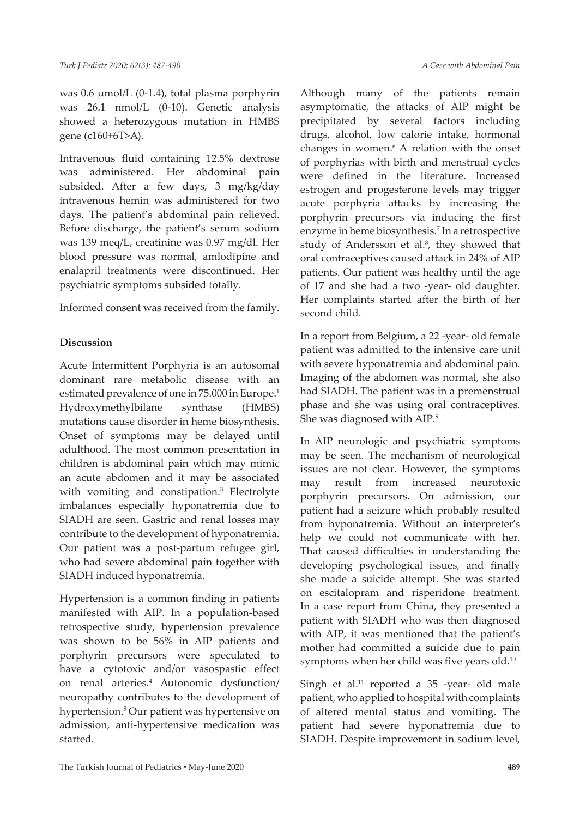*A Case with Abdominal Pain*

was 0.6 µmol/L (0-1.4), total plasma porphyrin was 26.1 nmol/L (0-10). Genetic analysis showed a heterozygous mutation in HMBS gene (c160+6T>A).

Intravenous fluid containing 12.5% dextrose was administered. Her abdominal pain subsided. After a few days, 3 mg/kg/day intravenous hemin was administered for two days. The patient's abdominal pain relieved. Before discharge, the patient's serum sodium was 139 meq/L, creatinine was 0.97 mg/dl. Her blood pressure was normal, amlodipine and enalapril treatments were discontinued. Her psychiatric symptoms subsided totally.

Informed consent was received from the family.

## **Discussion**

Acute Intermittent Porphyria is an autosomal dominant rare metabolic disease with an estimated prevalence of one in 75.000 in Europe.<sup>1</sup> Hydroxymethylbilane synthase (HMBS) mutations cause disorder in heme biosynthesis. Onset of symptoms may be delayed until adulthood. The most common presentation in children is abdominal pain which may mimic an acute abdomen and it may be associated with vomiting and constipation.<sup>3</sup> Electrolyte imbalances especially hyponatremia due to SIADH are seen. Gastric and renal losses may contribute to the development of hyponatremia. Our patient was a post-partum refugee girl, who had severe abdominal pain together with SIADH induced hyponatremia.

Hypertension is a common finding in patients manifested with AIP. In a population-based retrospective study, hypertension prevalence was shown to be 56% in AIP patients and porphyrin precursors were speculated to have a cytotoxic and/or vasospastic effect on renal arteries.<sup>4</sup> Autonomic dysfunction/ neuropathy contributes to the development of hypertension.<sup>5</sup> Our patient was hypertensive on admission, anti-hypertensive medication was started.

Although many of the patients remain asymptomatic, the attacks of AIP might be precipitated by several factors including drugs, alcohol, low calorie intake, hormonal changes in women.6 A relation with the onset of porphyrias with birth and menstrual cycles were defined in the literature. Increased estrogen and progesterone levels may trigger acute porphyria attacks by increasing the porphyrin precursors via inducing the first enzyme in heme biosynthesis.7 In a retrospective study of Andersson et al.<sup>8</sup>, they showed that oral contraceptives caused attack in 24% of AIP patients. Our patient was healthy until the age of 17 and she had a two -year- old daughter. Her complaints started after the birth of her second child.

In a report from Belgium, a 22 -year- old female patient was admitted to the intensive care unit with severe hyponatremia and abdominal pain. Imaging of the abdomen was normal, she also had SIADH. The patient was in a premenstrual phase and she was using oral contraceptives. She was diagnosed with AIP.<sup>9</sup>

In AIP neurologic and psychiatric symptoms may be seen. The mechanism of neurological issues are not clear. However, the symptoms may result from increased neurotoxic porphyrin precursors. On admission, our patient had a seizure which probably resulted from hyponatremia. Without an interpreter's help we could not communicate with her. That caused difficulties in understanding the developing psychological issues, and finally she made a suicide attempt. She was started on escitalopram and risperidone treatment. In a case report from China, they presented a patient with SIADH who was then diagnosed with AIP, it was mentioned that the patient's mother had committed a suicide due to pain symptoms when her child was five years old.<sup>10</sup>

Singh et al.<sup>11</sup> reported a 35 -year- old male patient, who applied to hospital with complaints of altered mental status and vomiting. The patient had severe hyponatremia due to SIADH. Despite improvement in sodium level,